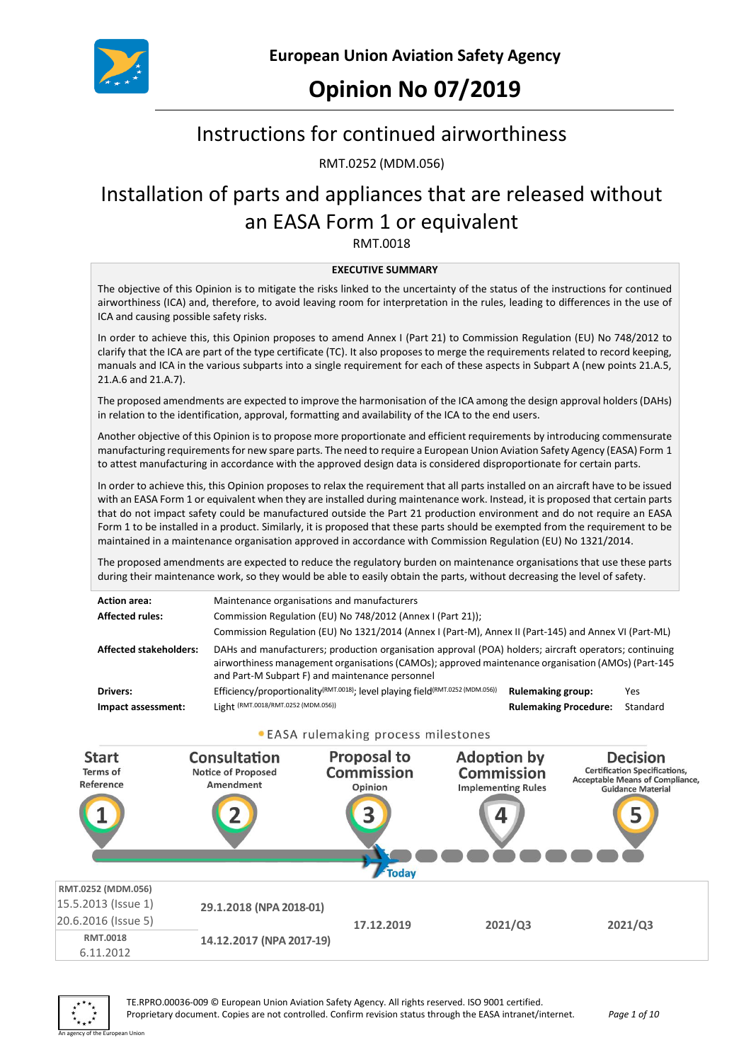

# **Opinion No 07/2019**

# Instructions for continued airworthiness

RMT.0252 (MDM.056)

# Installation of parts and appliances that are released without an EASA Form 1 or equivalent

RMT.0018

#### **EXECUTIVE SUMMARY**

The objective of this Opinion is to mitigate the risks linked to the uncertainty of the status of the instructions for continued airworthiness (ICA) and, therefore, to avoid leaving room for interpretation in the rules, leading to differences in the use of ICA and causing possible safety risks.

In order to achieve this, this Opinion proposes to amend Annex I (Part 21) to Commission Regulation (EU) No 748/2012 to clarify that the ICA are part of the type certificate (TC). It also proposes to merge the requirements related to record keeping, manuals and ICA in the various subparts into a single requirement for each of these aspects in Subpart A (new points 21.A.5, 21.A.6 and 21.A.7).

The proposed amendments are expected to improve the harmonisation of the ICA among the design approval holders (DAHs) in relation to the identification, approval, formatting and availability of the ICA to the end users.

Another objective of this Opinion is to propose more proportionate and efficient requirements by introducing commensurate manufacturing requirements for new spare parts. The need to require a European Union Aviation Safety Agency (EASA) Form 1 to attest manufacturing in accordance with the approved design data is considered disproportionate for certain parts.

In order to achieve this, this Opinion proposes to relax the requirement that all parts installed on an aircraft have to be issued with an EASA Form 1 or equivalent when they are installed during maintenance work. Instead, it is proposed that certain parts that do not impact safety could be manufactured outside the Part 21 production environment and do not require an EASA Form 1 to be installed in a product. Similarly, it is proposed that these parts should be exempted from the requirement to be maintained in a maintenance organisation approved in accordance with Commission Regulation (EU) No 1321/2014.

The proposed amendments are expected to reduce the regulatory burden on maintenance organisations that use these parts during their maintenance work, so they would be able to easily obtain the parts, without decreasing the level of safety.

| <b>Action area:</b>            | Maintenance organisations and manufacturers                                                                                                                                                                                                                     |                                                          |                 |
|--------------------------------|-----------------------------------------------------------------------------------------------------------------------------------------------------------------------------------------------------------------------------------------------------------------|----------------------------------------------------------|-----------------|
| <b>Affected rules:</b>         | Commission Regulation (EU) No 748/2012 (Annex I (Part 21));<br>Commission Regulation (EU) No 1321/2014 (Annex I (Part-M), Annex II (Part-145) and Annex VI (Part-ML)                                                                                            |                                                          |                 |
| <b>Affected stakeholders:</b>  | DAHs and manufacturers; production organisation approval (POA) holders; aircraft operators; continuing<br>airworthiness management organisations (CAMOs); approved maintenance organisation (AMOs) (Part-145<br>and Part-M Subpart F) and maintenance personnel |                                                          |                 |
| Drivers:<br>Impact assessment: | Efficiency/proportionality <sup>(RMT.0018)</sup> ; level playing field <sup>(RMT.0252</sup> (MDM.056))<br>Light (RMT.0018/RMT.0252 (MDM.056))                                                                                                                   | <b>Rulemaking group:</b><br><b>Rulemaking Procedure:</b> | Yes<br>Standard |

#### . EASA rulemaking process milestones



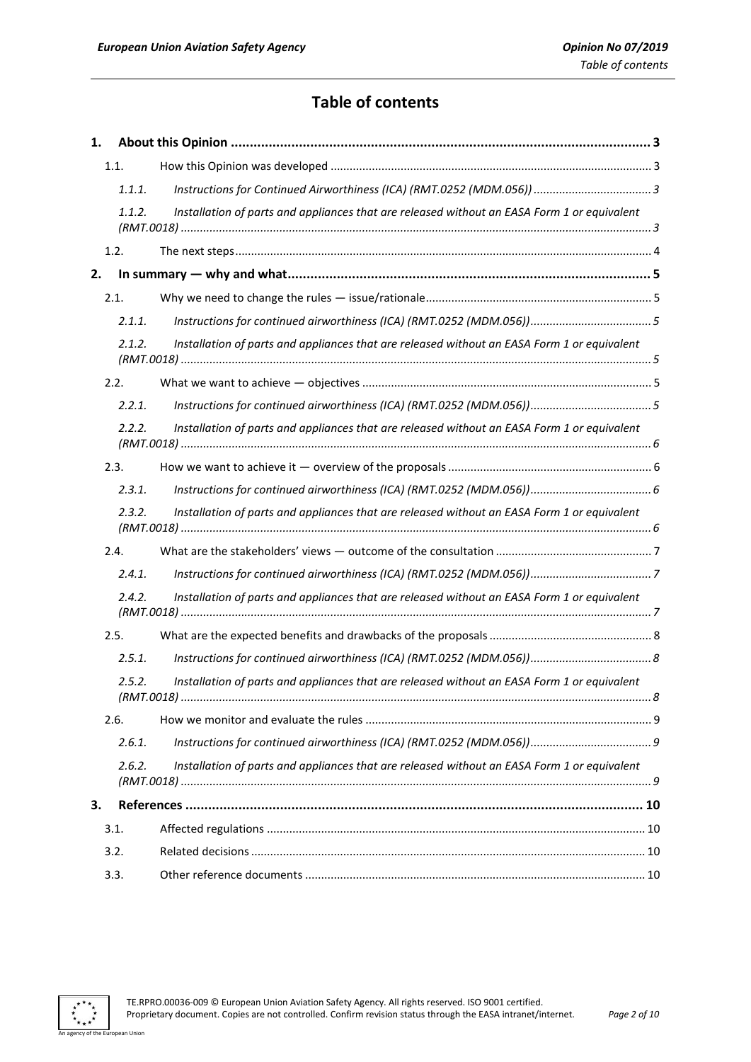## **Table of contents**

| 1. |                      |                                                                                             |   |
|----|----------------------|---------------------------------------------------------------------------------------------|---|
|    | 1.1.                 |                                                                                             |   |
|    | 1.1.1.               |                                                                                             |   |
|    | 1.1.2.               | Installation of parts and appliances that are released without an EASA Form 1 or equivalent |   |
|    | 1.2.                 |                                                                                             |   |
| 2. |                      |                                                                                             |   |
|    | 2.1.                 |                                                                                             |   |
|    | 2.1.1.               |                                                                                             |   |
|    | 2.1.2.               | Installation of parts and appliances that are released without an EASA Form 1 or equivalent |   |
|    | 2.2.                 |                                                                                             |   |
|    | 2.2.1.               |                                                                                             |   |
|    | 2.2.2.               | Installation of parts and appliances that are released without an EASA Form 1 or equivalent |   |
|    | 2.3.                 |                                                                                             |   |
|    | 2.3.1.               |                                                                                             |   |
|    | 2.3.2.               | Installation of parts and appliances that are released without an EASA Form 1 or equivalent |   |
|    | 2.4.                 |                                                                                             |   |
|    | 2.4.1.               |                                                                                             |   |
|    | 2.4.2.               | Installation of parts and appliances that are released without an EASA Form 1 or equivalent |   |
|    | 2.5.                 |                                                                                             |   |
|    | 2.5.1.               |                                                                                             |   |
|    | 2.5.2.<br>(RMT.0018) | Installation of parts and appliances that are released without an EASA Form 1 or equivalent | 8 |
|    | 2.6.                 |                                                                                             |   |
|    | 2.6.1.               |                                                                                             |   |
|    | 2.6.2.               | Installation of parts and appliances that are released without an EASA Form 1 or equivalent |   |
| 3. |                      |                                                                                             |   |
|    | 3.1.                 |                                                                                             |   |
|    | 3.2.                 |                                                                                             |   |
|    | 3.3.                 |                                                                                             |   |

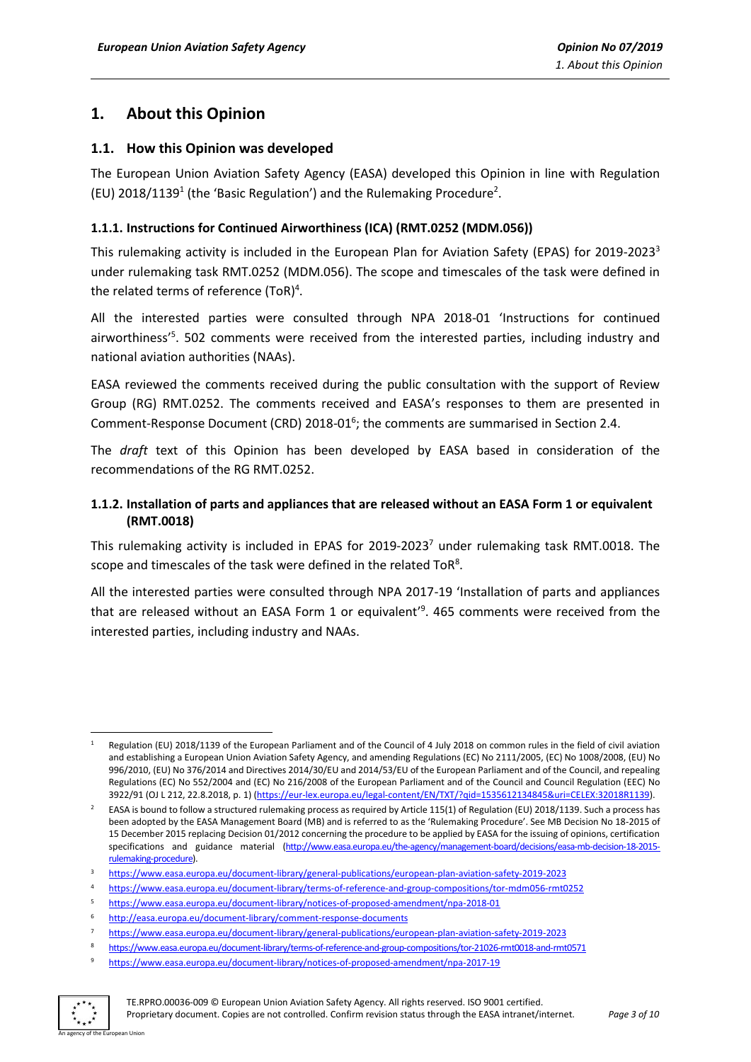## <span id="page-2-0"></span>**1. About this Opinion**

#### <span id="page-2-1"></span>**1.1. How this Opinion was developed**

The European Union Aviation Safety Agency (EASA) developed this Opinion in line with Regulation (EU)  $2018/1139<sup>1</sup>$  (the 'Basic Regulation') and the Rulemaking Procedure<sup>2</sup>.

#### <span id="page-2-2"></span>**1.1.1. Instructions for Continued Airworthiness (ICA) (RMT.0252 (MDM.056))**

This rulemaking activity is included in the European Plan for Aviation Safety (EPAS) for 2019-2023<sup>3</sup> under rulemaking task RMT.0252 (MDM.056). The scope and timescales of the task were defined in the related terms of reference (ToR)<sup>4</sup>.

All the interested parties were consulted through NPA 2018-01 'Instructions for continued airworthiness<sup>'5</sup>. 502 comments were received from the interested parties, including industry and national aviation authorities (NAAs).

EASA reviewed the comments received during the public consultation with the support of Review Group (RG) RMT.0252. The comments received and EASA's responses to them are presented in Comment-Response Document (CRD) 2018-01 $<sup>6</sup>$ ; the comments are summarised in Section 2.4.</sup>

The *draft* text of this Opinion has been developed by EASA based in consideration of the recommendations of the RG RMT.0252.

#### <span id="page-2-3"></span>**1.1.2. Installation of parts and appliances that are released without an EASA Form 1 or equivalent (RMT.0018)**

This rulemaking activity is included in EPAS for 2019-2023<sup>7</sup> under rulemaking task RMT.0018. The scope and timescales of the task were defined in the related ToR<sup>8</sup>.

All the interested parties were consulted through NPA 2017-19 'Installation of parts and appliances that are released without an EASA Form 1 or equivalent' 9 . 465 comments were received from the interested parties, including industry and NAAs.

<sup>9</sup> <https://www.easa.europa.eu/document-library/notices-of-proposed-amendment/npa-2017-19>



**.** 

Regulation (EU) 2018/1139 of the European Parliament and of the Council of 4 July 2018 on common rules in the field of civil aviation and establishing a European Union Aviation Safety Agency, and amending Regulations (EC) No 2111/2005, (EC) No 1008/2008, (EU) No 996/2010, (EU) No 376/2014 and Directives 2014/30/EU and 2014/53/EU of the European Parliament and of the Council, and repealing Regulations (EC) No 552/2004 and (EC) No 216/2008 of the European Parliament and of the Council and Council Regulation (EEC) No 3922/91 (OJ L 212, 22.8.2018, p. 1) [\(https://eur-lex.europa.eu/legal-content/EN/TXT/?qid=1535612134845&uri=CELEX:32018R1139\)](https://eur-lex.europa.eu/legal-content/EN/TXT/?qid=1535612134845&uri=CELEX:32018R1139).

<sup>2</sup> EASA is bound to follow a structured rulemaking process as required by Article 115(1) of Regulation (EU) 2018/1139. Such a process has been adopted by the EASA Management Board (MB) and is referred to as the 'Rulemaking Procedure'. See MB Decision No 18-2015 of 15 December 2015 replacing Decision 01/2012 concerning the procedure to be applied by EASA for the issuing of opinions, certification specifications and guidance material [\(http://www.easa.europa.eu/the-agency/management-board/decisions/easa-mb-decision-18-2015](http://www.easa.europa.eu/the-agency/management-board/decisions/easa-mb-decision-18-2015-rulemaking-procedure) [rulemaking-procedure\).](http://www.easa.europa.eu/the-agency/management-board/decisions/easa-mb-decision-18-2015-rulemaking-procedure)

<sup>3</sup> <https://www.easa.europa.eu/document-library/general-publications/european-plan-aviation-safety-2019-2023>

<sup>4</sup> <https://www.easa.europa.eu/document-library/terms-of-reference-and-group-compositions/tor-mdm056-rmt0252>

<sup>5</sup> <https://www.easa.europa.eu/document-library/notices-of-proposed-amendment/npa-2018-01>

<sup>6</sup> <http://easa.europa.eu/document-library/comment-response-documents>

<sup>7</sup> <https://www.easa.europa.eu/document-library/general-publications/european-plan-aviation-safety-2019-2023>

<sup>8</sup> <https://www.easa.europa.eu/document-library/terms-of-reference-and-group-compositions/tor-21026-rmt0018-and-rmt0571>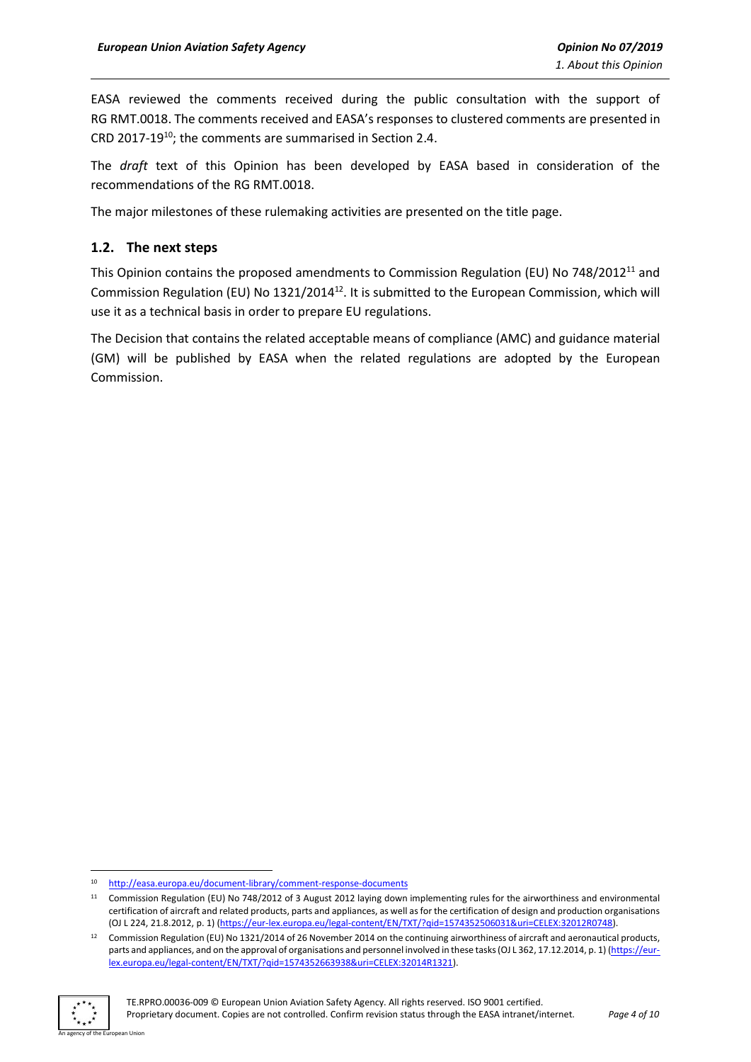EASA reviewed the comments received during the public consultation with the support of RG RMT.0018. The comments received and EASA's responses to clustered comments are presented in CRD 2017-19<sup>10</sup>; the comments are summarised in Section 2.4.

The *draft* text of this Opinion has been developed by EASA based in consideration of the recommendations of the RG RMT.0018.

The major milestones of these rulemaking activities are presented on the title page.

#### <span id="page-3-0"></span>**1.2. The next steps**

This Opinion contains the proposed amendments to Commission Regulation (EU) No 748/2012<sup>11</sup> and Commission Regulation (EU) No 1321/2014<sup>12</sup>. It is submitted to the European Commission, which will use it as a technical basis in order to prepare EU regulations.

The Decision that contains the related acceptable means of compliance (AMC) and guidance material (GM) will be published by EASA when the related regulations are adopted by the European Commission.

<sup>&</sup>lt;sup>12</sup> Commission Regulation (EU) No 1321/2014 of 26 November 2014 on the continuing airworthiness of aircraft and aeronautical products, parts and appliances, and on the approval of organisations and personnel involved in these tasks (OJ L 362, 17.12.2014, p. 1) [\(https://eur](https://eur-lex.europa.eu/legal-content/EN/TXT/?qid=1574352663938&uri=CELEX:32014R1321)[lex.europa.eu/legal-content/EN/TXT/?qid=1574352663938&uri=CELEX:32014R1321\)](https://eur-lex.europa.eu/legal-content/EN/TXT/?qid=1574352663938&uri=CELEX:32014R1321).



<sup>1</sup> <sup>10</sup> <http://easa.europa.eu/document-library/comment-response-documents>

<sup>11</sup> Commission Regulation (EU) No 748/2012 of 3 August 2012 laying down implementing rules for the airworthiness and environmental certification of aircraft and related products, parts and appliances, as well as for the certification of design and production organisations (OJ L 224, 21.8.2012, p. 1) [\(https://eur-lex.europa.eu/legal-content/EN/TXT/?qid=1574352506031&uri=CELEX:32012R0748\)](https://eur-lex.europa.eu/legal-content/EN/TXT/?qid=1574352506031&uri=CELEX:32012R0748).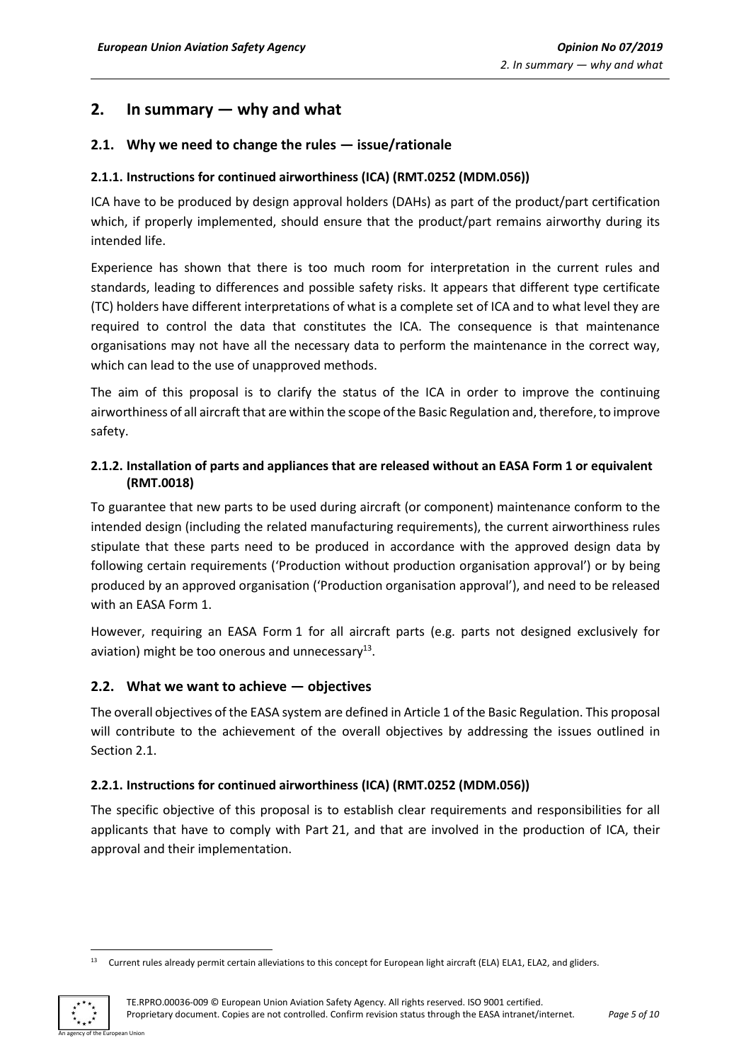## <span id="page-4-0"></span>**2. In summary — why and what**

### <span id="page-4-1"></span>**2.1. Why we need to change the rules — issue/rationale**

#### <span id="page-4-2"></span>**2.1.1. Instructions for continued airworthiness (ICA) (RMT.0252 (MDM.056))**

ICA have to be produced by design approval holders (DAHs) as part of the product/part certification which, if properly implemented, should ensure that the product/part remains airworthy during its intended life.

Experience has shown that there is too much room for interpretation in the current rules and standards, leading to differences and possible safety risks. It appears that different type certificate (TC) holders have different interpretations of what is a complete set of ICA and to what level they are required to control the data that constitutes the ICA. The consequence is that maintenance organisations may not have all the necessary data to perform the maintenance in the correct way, which can lead to the use of unapproved methods.

The aim of this proposal is to clarify the status of the ICA in order to improve the continuing airworthiness of all aircraft that are within the scope of the Basic Regulation and, therefore, to improve safety.

#### <span id="page-4-3"></span>**2.1.2. Installation of parts and appliances that are released without an EASA Form 1 or equivalent (RMT.0018)**

To guarantee that new parts to be used during aircraft (or component) maintenance conform to the intended design (including the related manufacturing requirements), the current airworthiness rules stipulate that these parts need to be produced in accordance with the approved design data by following certain requirements ('Production without production organisation approval') or by being produced by an approved organisation ('Production organisation approval'), and need to be released with an EASA Form 1.

However, requiring an EASA Form 1 for all aircraft parts (e.g. parts not designed exclusively for aviation) might be too onerous and unnecessary<sup>13</sup>.

#### <span id="page-4-4"></span>**2.2. What we want to achieve — objectives**

The overall objectives of the EASA system are defined in Article 1 of the Basic Regulation. This proposal will contribute to the achievement of the overall objectives by addressing the issues outlined in Section 2.1.

#### <span id="page-4-5"></span>**2.2.1. Instructions for continued airworthiness (ICA) (RMT.0252 (MDM.056))**

The specific objective of this proposal is to establish clear requirements and responsibilities for all applicants that have to comply with Part 21, and that are involved in the production of ICA, their approval and their implementation.

<sup>1</sup> <sup>13</sup> Current rules already permit certain alleviations to this concept for European light aircraft (ELA) ELA1, ELA2, and gliders.

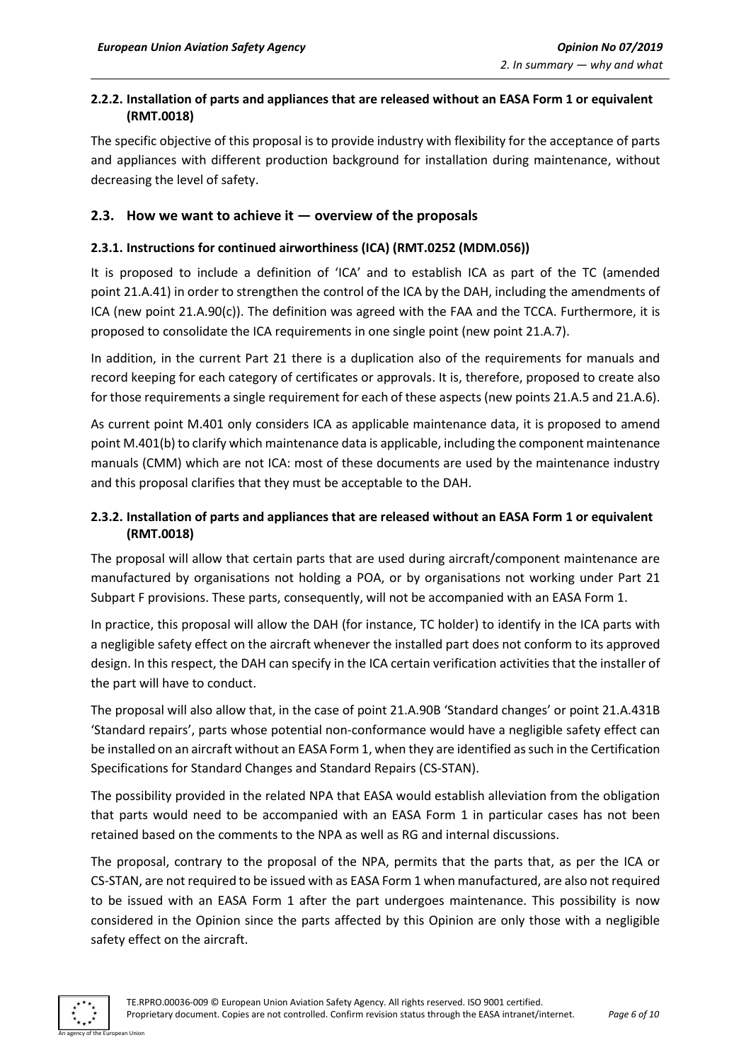#### <span id="page-5-0"></span>**2.2.2. Installation of parts and appliances that are released without an EASA Form 1 or equivalent (RMT.0018)**

The specific objective of this proposal is to provide industry with flexibility for the acceptance of parts and appliances with different production background for installation during maintenance, without decreasing the level of safety.

#### <span id="page-5-1"></span>**2.3. How we want to achieve it — overview of the proposals**

#### <span id="page-5-2"></span>**2.3.1. Instructions for continued airworthiness (ICA) (RMT.0252 (MDM.056))**

It is proposed to include a definition of 'ICA' and to establish ICA as part of the TC (amended point 21.A.41) in order to strengthen the control of the ICA by the DAH, including the amendments of ICA (new point 21.A.90(c)). The definition was agreed with the FAA and the TCCA. Furthermore, it is proposed to consolidate the ICA requirements in one single point (new point 21.A.7).

In addition, in the current Part 21 there is a duplication also of the requirements for manuals and record keeping for each category of certificates or approvals. It is, therefore, proposed to create also for those requirements a single requirement for each of these aspects (new points 21.A.5 and 21.A.6).

As current point M.401 only considers ICA as applicable maintenance data, it is proposed to amend point M.401(b) to clarify which maintenance data is applicable, including the component maintenance manuals (CMM) which are not ICA: most of these documents are used by the maintenance industry and this proposal clarifies that they must be acceptable to the DAH.

### <span id="page-5-3"></span>**2.3.2. Installation of parts and appliances that are released without an EASA Form 1 or equivalent (RMT.0018)**

The proposal will allow that certain parts that are used during aircraft/component maintenance are manufactured by organisations not holding a POA, or by organisations not working under Part 21 Subpart F provisions. These parts, consequently, will not be accompanied with an EASA Form 1.

In practice, this proposal will allow the DAH (for instance, TC holder) to identify in the ICA parts with a negligible safety effect on the aircraft whenever the installed part does not conform to its approved design. In this respect, the DAH can specify in the ICA certain verification activities that the installer of the part will have to conduct.

The proposal will also allow that, in the case of point 21.A.90B 'Standard changes' or point 21.A.431B 'Standard repairs', parts whose potential non-conformance would have a negligible safety effect can be installed on an aircraft without an EASA Form 1, when they are identified as such in the Certification Specifications for Standard Changes and Standard Repairs (CS-STAN).

The possibility provided in the related NPA that EASA would establish alleviation from the obligation that parts would need to be accompanied with an EASA Form 1 in particular cases has not been retained based on the comments to the NPA as well as RG and internal discussions.

The proposal, contrary to the proposal of the NPA, permits that the parts that, as per the ICA or CS-STAN, are not required to be issued with as EASA Form 1 when manufactured, are also not required to be issued with an EASA Form 1 after the part undergoes maintenance. This possibility is now considered in the Opinion since the parts affected by this Opinion are only those with a negligible safety effect on the aircraft.

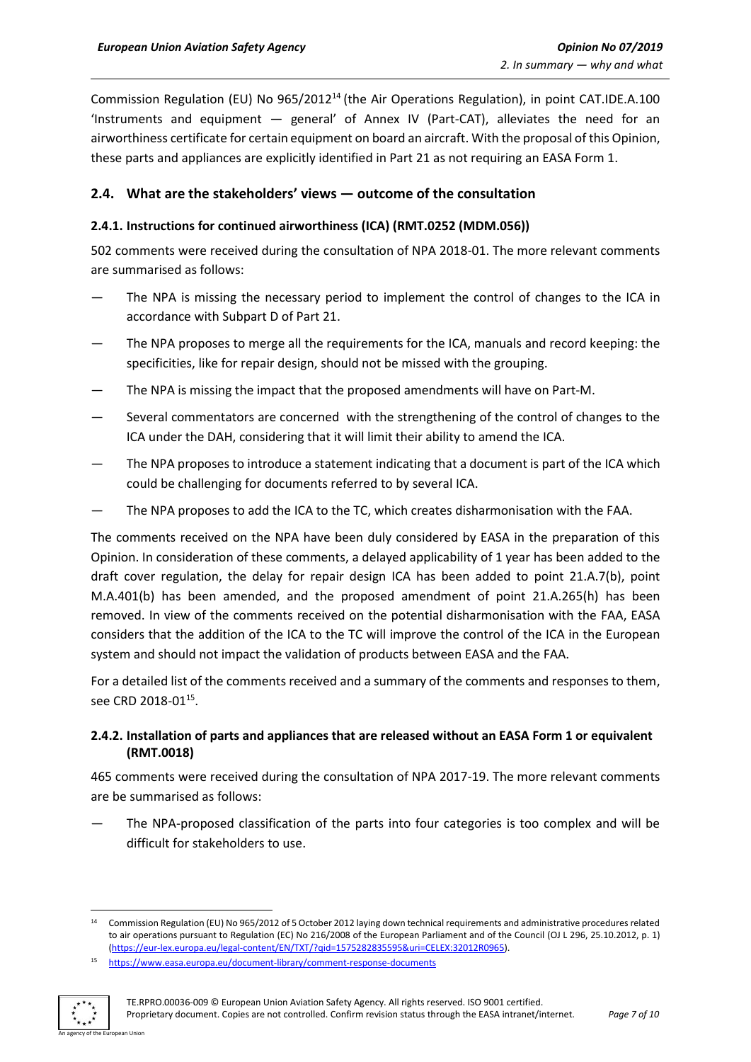Commission Regulation (EU) No 965/2012<sup>14</sup> (the Air Operations Regulation), in point CAT.IDE.A.100 'Instruments and equipment — general' of Annex IV (Part-CAT), alleviates the need for an airworthiness certificate for certain equipment on board an aircraft. With the proposal of this Opinion, these parts and appliances are explicitly identified in Part 21 as not requiring an EASA Form 1.

#### <span id="page-6-0"></span>**2.4. What are the stakeholders' views — outcome of the consultation**

#### <span id="page-6-1"></span>**2.4.1. Instructions for continued airworthiness (ICA) (RMT.0252 (MDM.056))**

502 comments were received during the consultation of NPA 2018-01. The more relevant comments are summarised as follows:

- The NPA is missing the necessary period to implement the control of changes to the ICA in accordance with Subpart D of Part 21.
- The NPA proposes to merge all the requirements for the ICA, manuals and record keeping: the specificities, like for repair design, should not be missed with the grouping.
- The NPA is missing the impact that the proposed amendments will have on Part-M.
- Several commentators are concerned with the strengthening of the control of changes to the ICA under the DAH, considering that it will limit their ability to amend the ICA.
- The NPA proposes to introduce a statement indicating that a document is part of the ICA which could be challenging for documents referred to by several ICA.
- The NPA proposes to add the ICA to the TC, which creates disharmonisation with the FAA.

The comments received on the NPA have been duly considered by EASA in the preparation of this Opinion. In consideration of these comments, a delayed applicability of 1 year has been added to the draft cover regulation, the delay for repair design ICA has been added to point 21.A.7(b), point M.A.401(b) has been amended, and the proposed amendment of point 21.A.265(h) has been removed. In view of the comments received on the potential disharmonisation with the FAA, EASA considers that the addition of the ICA to the TC will improve the control of the ICA in the European system and should not impact the validation of products between EASA and the FAA.

For a detailed list of the comments received and a summary of the comments and responses to them, see CRD 2018-01<sup>15</sup>.

#### <span id="page-6-2"></span>**2.4.2. Installation of parts and appliances that are released without an EASA Form 1 or equivalent (RMT.0018)**

465 comments were received during the consultation of NPA 2017-19. The more relevant comments are be summarised as follows:

The NPA-proposed classification of the parts into four categories is too complex and will be difficult for stakeholders to use.

<sup>15</sup> <https://www.easa.europa.eu/document-library/comment-response-documents>



**.** 

<sup>14</sup> Commission Regulation (EU) No 965/2012 of 5 October 2012 laying down technical requirements and administrative procedures related to air operations pursuant to Regulation (EC) No 216/2008 of the European Parliament and of the Council (OJ L 296, 25.10.2012, p. 1) [\(https://eur-lex.europa.eu/legal-content/EN/TXT/?qid=1575282835595&uri=CELEX:32012R0965\)](https://eur-lex.europa.eu/legal-content/EN/TXT/?qid=1575282835595&uri=CELEX:32012R0965).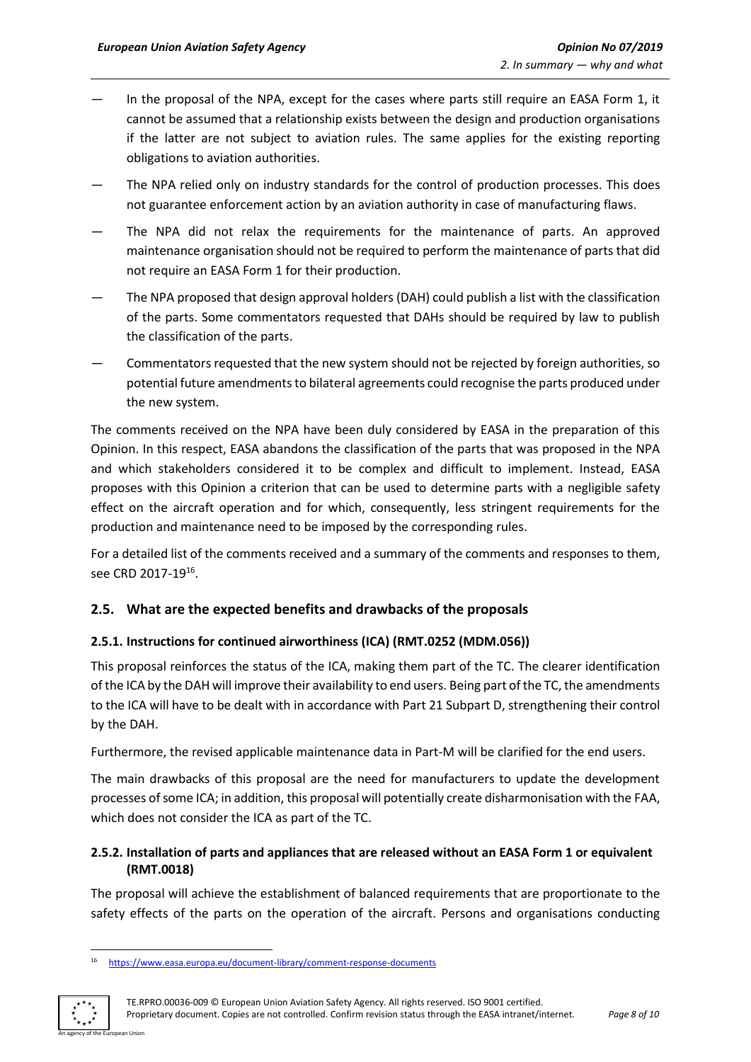- In the proposal of the NPA, except for the cases where parts still require an EASA Form 1, it cannot be assumed that a relationship exists between the design and production organisations if the latter are not subject to aviation rules. The same applies for the existing reporting obligations to aviation authorities.
- The NPA relied only on industry standards for the control of production processes. This does not guarantee enforcement action by an aviation authority in case of manufacturing flaws.
- The NPA did not relax the requirements for the maintenance of parts. An approved maintenance organisation should not be required to perform the maintenance of parts that did not require an EASA Form 1 for their production.
- The NPA proposed that design approval holders (DAH) could publish a list with the classification of the parts. Some commentators requested that DAHs should be required by law to publish the classification of the parts.
- Commentators requested that the new system should not be rejected by foreign authorities, so potential future amendments to bilateral agreements could recognise the parts produced under the new system.

The comments received on the NPA have been duly considered by EASA in the preparation of this Opinion. In this respect, EASA abandons the classification of the parts that was proposed in the NPA and which stakeholders considered it to be complex and difficult to implement. Instead, EASA proposes with this Opinion a criterion that can be used to determine parts with a negligible safety effect on the aircraft operation and for which, consequently, less stringent requirements for the production and maintenance need to be imposed by the corresponding rules.

For a detailed list of the comments received and a summary of the comments and responses to them, see CRD 2017-19<sup>16</sup>.

#### <span id="page-7-0"></span>**2.5. What are the expected benefits and drawbacks of the proposals**

#### <span id="page-7-1"></span>**2.5.1. Instructions for continued airworthiness (ICA) (RMT.0252 (MDM.056))**

This proposal reinforces the status of the ICA, making them part of the TC. The clearer identification of the ICA by the DAH will improve their availability to end users. Being part of the TC, the amendments to the ICA will have to be dealt with in accordance with Part 21 Subpart D, strengthening their control by the DAH.

Furthermore, the revised applicable maintenance data in Part-M will be clarified for the end users.

The main drawbacks of this proposal are the need for manufacturers to update the development processes of some ICA; in addition, this proposal will potentially create disharmonisation with the FAA, which does not consider the ICA as part of the TC.

#### <span id="page-7-2"></span>**2.5.2. Installation of parts and appliances that are released without an EASA Form 1 or equivalent (RMT.0018)**

The proposal will achieve the establishment of balanced requirements that are proportionate to the safety effects of the parts on the operation of the aircraft. Persons and organisations conducting

<sup>16</sup> <https://www.easa.europa.eu/document-library/comment-response-documents>



1

TE.RPRO.00036-009 © European Union Aviation Safety Agency. All rights reserved. ISO 9001 certified. Proprietary document. Copies are not controlled. Confirm revision status through the EASA intranet/internet. *Page 8 of 10*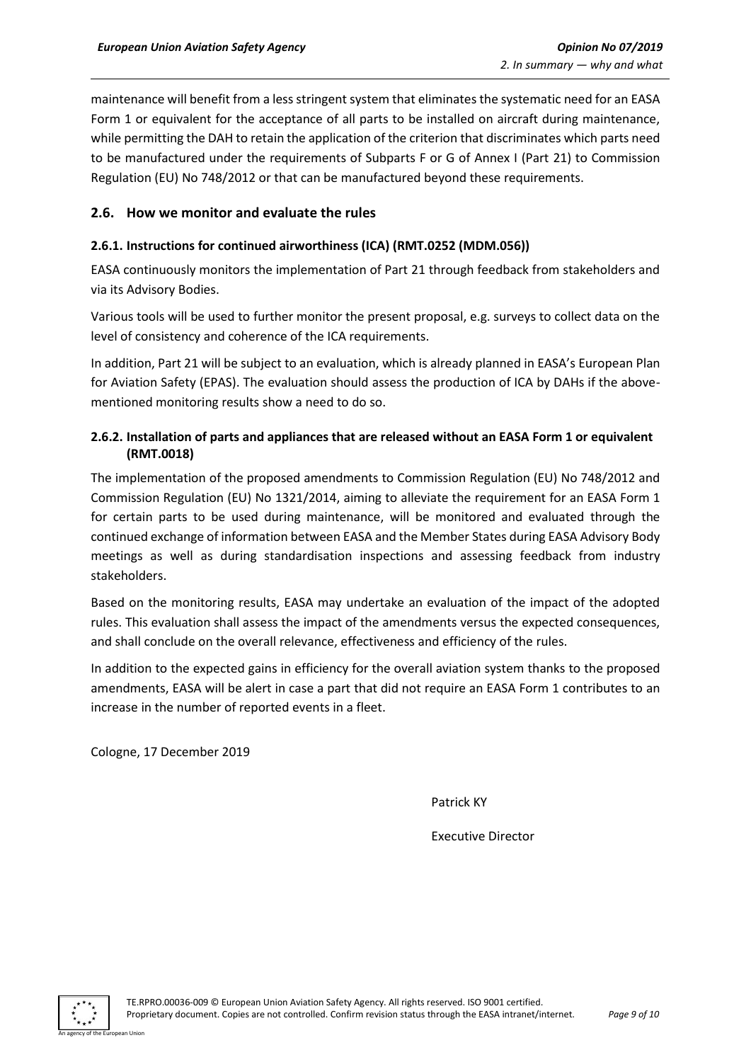maintenance will benefit from a less stringent system that eliminates the systematic need for an EASA Form 1 or equivalent for the acceptance of all parts to be installed on aircraft during maintenance, while permitting the DAH to retain the application of the criterion that discriminates which parts need to be manufactured under the requirements of Subparts F or G of Annex I (Part 21) to Commission Regulation (EU) No 748/2012 or that can be manufactured beyond these requirements.

#### <span id="page-8-0"></span>**2.6. How we monitor and evaluate the rules**

#### <span id="page-8-1"></span>**2.6.1. Instructions for continued airworthiness (ICA) (RMT.0252 (MDM.056))**

EASA continuously monitors the implementation of Part 21 through feedback from stakeholders and via its Advisory Bodies.

Various tools will be used to further monitor the present proposal, e.g. surveys to collect data on the level of consistency and coherence of the ICA requirements.

In addition, Part 21 will be subject to an evaluation, which is already planned in EASA's European Plan for Aviation Safety (EPAS). The evaluation should assess the production of ICA by DAHs if the abovementioned monitoring results show a need to do so.

#### <span id="page-8-2"></span>**2.6.2. Installation of parts and appliances that are released without an EASA Form 1 or equivalent (RMT.0018)**

The implementation of the proposed amendments to Commission Regulation (EU) No 748/2012 and Commission Regulation (EU) No 1321/2014, aiming to alleviate the requirement for an EASA Form 1 for certain parts to be used during maintenance, will be monitored and evaluated through the continued exchange of information between EASA and the Member States during EASA Advisory Body meetings as well as during standardisation inspections and assessing feedback from industry stakeholders.

Based on the monitoring results, EASA may undertake an evaluation of the impact of the adopted rules. This evaluation shall assess the impact of the amendments versus the expected consequences, and shall conclude on the overall relevance, effectiveness and efficiency of the rules.

In addition to the expected gains in efficiency for the overall aviation system thanks to the proposed amendments, EASA will be alert in case a part that did not require an EASA Form 1 contributes to an increase in the number of reported events in a fleet.

Cologne, 17 December 2019

Patrick KY

Executive Director